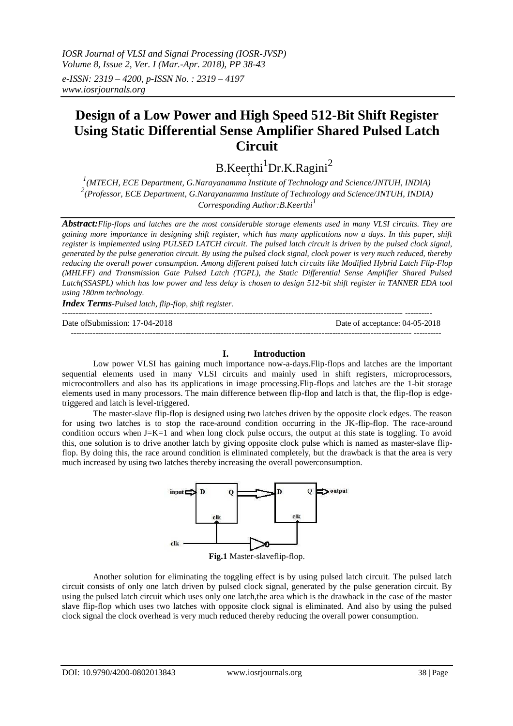*IOSR Journal of VLSI and Signal Processing (IOSR-JVSP) Volume 8, Issue 2, Ver. I (Mar.-Apr. 2018), PP 38-43 e-ISSN: 2319 – 4200, p-ISSN No. : 2319 – 4197 [www.iosrjournals.org](http://www.iosrjournals.org/)*

# **Design of a Low Power and High Speed 512-Bit Shift Register Using Static Differential Sense Amplifier Shared Pulsed Latch Circuit**

B.Keerthi<sup>1</sup>Dr.K.Ragini<sup>2</sup>

<sup>1</sup> (MTECH, ECE Department, G.Narayanamma Institute of Technology and Science/JNTUH, INDIA) *2 (Professor, ECE Department, G.Narayanamma Institute of Technology and Science/JNTUH, INDIA) Corresponding Author:B.Keerthi<sup>1</sup>*

*Abstract:Flip-flops and latches are the most considerable storage elements used in many VLSI circuits. They are gaining more importance in designing shift register, which has many applications now a days. In this paper, shift register is implemented using PULSED LATCH circuit. The pulsed latch circuit is driven by the pulsed clock signal, generated by the pulse generation circuit. By using the pulsed clock signal, clock power is very much reduced, thereby reducing the overall power consumption. Among different pulsed latch circuits like Modified Hybrid Latch Flip-Flop (MHLFF) and Transmission Gate Pulsed Latch (TGPL), the Static Differential Sense Amplifier Shared Pulsed Latch(SSASPL) which has low power and less delay is chosen to design 512-bit shift register in TANNER EDA tool using 180nm technology.*

*Index Terms-Pulsed latch, flip-flop, shift register.*

----------------------------------------------------------------------------------------------------------------------------- ---------- Date of Submission: 17-04-2018 Date of acceptance: 04-05-2018

----------------------------------------------------------------------------------------------------------------------------- ----------

## **I. Introduction**

Low power VLSI has gaining much importance now-a-days.Flip-flops and latches are the important sequential elements used in many VLSI circuits and mainly used in shift registers, microprocessors, microcontrollers and also has its applications in image processing.Flip-flops and latches are the 1-bit storage elements used in many processors. The main difference between flip-flop and latch is that, the flip-flop is edgetriggered and latch is level-triggered.

The master-slave flip-flop is designed using two latches driven by the opposite clock edges. The reason for using two latches is to stop the race-around condition occurring in the JK-flip-flop. The race-around condition occurs when J=K=1 and when long clock pulse occurs, the output at this state is toggling. To avoid this, one solution is to drive another latch by giving opposite clock pulse which is named as master-slave flipflop. By doing this, the race around condition is eliminated completely, but the drawback is that the area is very much increased by using two latches thereby increasing the overall powerconsumption.



**Fig.1** Master-slaveflip-flop.

Another solution for eliminating the toggling effect is by using pulsed latch circuit. The pulsed latch circuit consists of only one latch driven by pulsed clock signal, generated by the pulse generation circuit. By using the pulsed latch circuit which uses only one latch,the area which is the drawback in the case of the master slave flip-flop which uses two latches with opposite clock signal is eliminated. And also by using the pulsed clock signal the clock overhead is very much reduced thereby reducing the overall power consumption.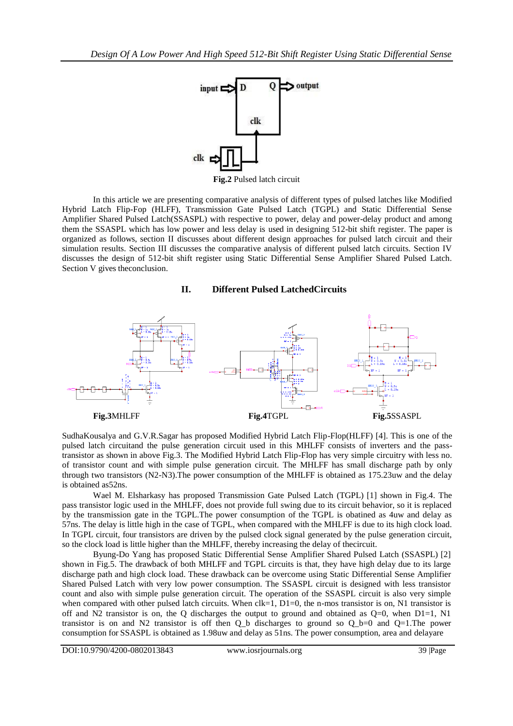

**Fig.2** Pulsed latch circuit

In this article we are presenting comparative analysis of different types of pulsed latches like Modified Hybrid Latch Flip-Fop (HLFF), Transmission Gate Pulsed Latch (TGPL) and Static Differential Sense Amplifier Shared Pulsed Latch(SSASPL) with respective to power, delay and power-delay product and among them the SSASPL which has low power and less delay is used in designing 512-bit shift register. The paper is organized as follows, section II discusses about different design approaches for pulsed latch circuit and their simulation results. Section III discusses the comparative analysis of different pulsed latch circuits. Section IV discusses the design of 512-bit shift register using Static Differential Sense Amplifier Shared Pulsed Latch. Section V gives theconclusion.

#### **II. Different Pulsed LatchedCircuits**



SudhaKousalya and G.V.R.Sagar has proposed Modified Hybrid Latch Flip-Flop(HLFF) [4]. This is one of the pulsed latch circuitand the pulse generation circuit used in this MHLFF consists of inverters and the passtransistor as shown in above Fig.3. The Modified Hybrid Latch Flip-Flop has very simple circuitry with less no. of transistor count and with simple pulse generation circuit. The MHLFF has small discharge path by only through two transistors (N2-N3).The power consumption of the MHLFF is obtained as 175.23uw and the delay is obtained as52ns.

Wael M. Elsharkasy has proposed Transmission Gate Pulsed Latch (TGPL) [1] shown in Fig.4. The pass transistor logic used in the MHLFF, does not provide full swing due to its circuit behavior, so it is replaced by the transmission gate in the TGPL.The power consumption of the TGPL is obatined as 4uw and delay as 57ns. The delay is little high in the case of TGPL, when compared with the MHLFF is due to its high clock load. In TGPL circuit, four transistors are driven by the pulsed clock signal generated by the pulse generation circuit, so the clock load is little higher than the MHLFF, thereby increasing the delay of thecircuit.

Byung-Do Yang has proposed Static Differential Sense Amplifier Shared Pulsed Latch (SSASPL) [2] shown in Fig.5. The drawback of both MHLFF and TGPL circuits is that, they have high delay due to its large discharge path and high clock load. These drawback can be overcome using Static Differential Sense Amplifier Shared Pulsed Latch with very low power consumption. The SSASPL circuit is designed with less transistor count and also with simple pulse generation circuit. The operation of the SSASPL circuit is also very simple when compared with other pulsed latch circuits. When  $clk=1$ ,  $D1=0$ , the n-mos transistor is on, N1 transistor is off and N2 transistor is on, the Q discharges the output to ground and obtained as  $Q=0$ , when  $D1=1$ , N1 transistor is on and N2 transistor is off then Q\_b discharges to ground so Q\_b=0 and Q=1.The power consumption for SSASPL is obtained as 1.98uw and delay as 51ns. The power consumption, area and delayare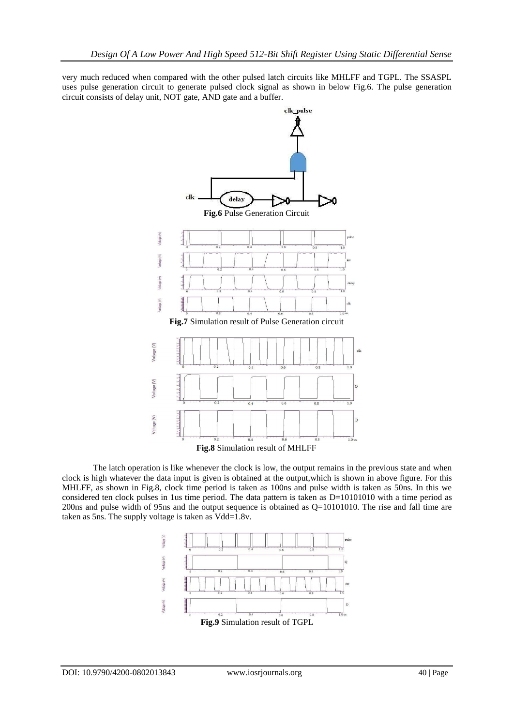very much reduced when compared with the other pulsed latch circuits like MHLFF and TGPL. The SSASPL uses pulse generation circuit to generate pulsed clock signal as shown in below Fig.6. The pulse generation circuit consists of delay unit, NOT gate, AND gate and a buffer.



The latch operation is like whenever the clock is low, the output remains in the previous state and when clock is high whatever the data input is given is obtained at the output,which is shown in above figure. For this MHLFF, as shown in Fig.8, clock time period is taken as 100ns and pulse width is taken as 50ns. In this we considered ten clock pulses in 1us time period. The data pattern is taken as D=10101010 with a time period as 200ns and pulse width of 95ns and the output sequence is obtained as Q=10101010. The rise and fall time are taken as 5ns. The supply voltage is taken as Vdd=1.8v.

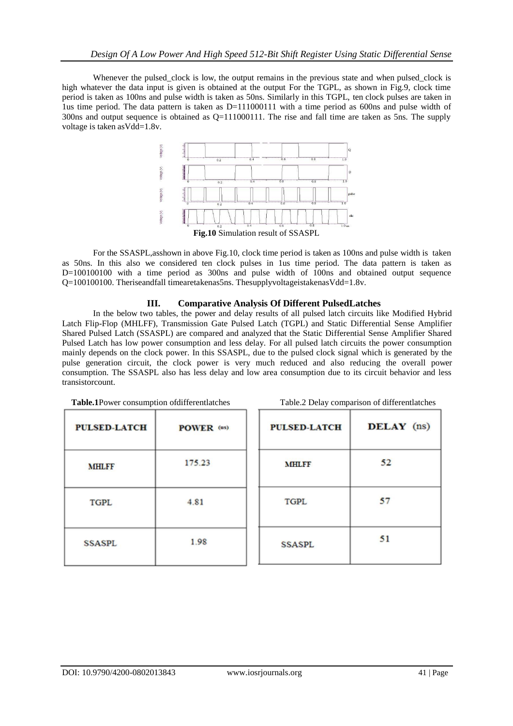Whenever the pulsed\_clock is low, the output remains in the previous state and when pulsed\_clock is high whatever the data input is given is obtained at the output For the TGPL, as shown in Fig.9, clock time period is taken as 100ns and pulse width is taken as 50ns. Similarly in this TGPL, ten clock pulses are taken in 1us time period. The data pattern is taken as D=111000111 with a time period as 600ns and pulse width of 300ns and output sequence is obtained as Q=111000111. The rise and fall time are taken as 5ns. The supply voltage is taken asVdd=1.8v.



For the SSASPL,asshown in above Fig.10, clock time period is taken as 100ns and pulse width is taken as 50ns. In this also we considered ten clock pulses in 1us time period. The data pattern is taken as D=100100100 with a time period as 300ns and pulse width of 100ns and obtained output sequence Q=100100100. Theriseandfall timearetakenas5ns. ThesupplyvoltageistakenasVdd=1.8v.

# **III. Comparative Analysis Of Different PulsedLatches**

In the below two tables, the power and delay results of all pulsed latch circuits like Modified Hybrid Latch Flip-Flop (MHLFF), Transmission Gate Pulsed Latch (TGPL) and Static Differential Sense Amplifier Shared Pulsed Latch (SSASPL) are compared and analyzed that the Static Differential Sense Amplifier Shared Pulsed Latch has low power consumption and less delay. For all pulsed latch circuits the power consumption mainly depends on the clock power. In this SSASPL, due to the pulsed clock signal which is generated by the pulse generation circuit, the clock power is very much reduced and also reducing the overall power consumption. The SSASPL also has less delay and low area consumption due to its circuit behavior and less transistorcount.

| Table.1Power consumption of different latches |            | Table.2 Delay comparison of different latches |            |
|-----------------------------------------------|------------|-----------------------------------------------|------------|
| <b>PULSED-LATCH</b>                           | POWER (us) | <b>PULSED-LATCH</b>                           | DELAY (ns) |
| <b>MHLFF</b>                                  | 175.23     | <b>MHLFF</b>                                  | 52         |
| <b>TGPL</b>                                   | 4.81       | <b>TGPL</b>                                   | 57         |
| <b>SSASPL</b>                                 | 1.98       | <b>SSASPL</b>                                 | 51         |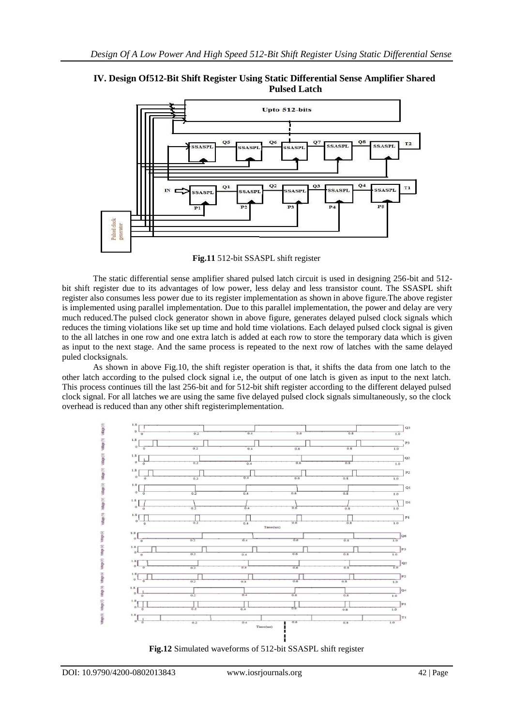



**Fig.11** 512-bit SSASPL shift register

The static differential sense amplifier shared pulsed latch circuit is used in designing 256-bit and 512 bit shift register due to its advantages of low power, less delay and less transistor count. The SSASPL shift register also consumes less power due to its register implementation as shown in above figure.The above register is implemented using parallel implementation. Due to this parallel implementation, the power and delay are very much reduced.The pulsed clock generator shown in above figure, generates delayed pulsed clock signals which reduces the timing violations like set up time and hold time violations. Each delayed pulsed clock signal is given to the all latches in one row and one extra latch is added at each row to store the temporary data which is given as input to the next stage. And the same process is repeated to the next row of latches with the same delayed puled clocksignals.

As shown in above Fig.10, the shift register operation is that, it shifts the data from one latch to the other latch according to the pulsed clock signal i.e, the output of one latch is given as input to the next latch. This process continues till the last 256-bit and for 512-bit shift register according to the different delayed pulsed clock signal. For all latches we are using the same five delayed pulsed clock signals simultaneously, so the clock overhead is reduced than any other shift registerimplementation.



**Fig.12** Simulated waveforms of 512-bit SSASPL shift register